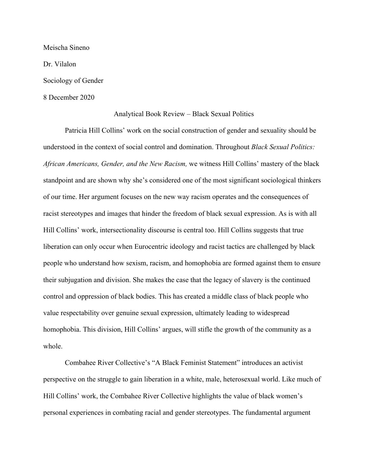Meischa Sineno Dr. Vilalon Sociology of Gender 8 December 2020

## Analytical Book Review – Black Sexual Politics

Patricia Hill Collins' work on the social construction of gender and sexuality should be understood in the context of social control and domination. Throughout *Black Sexual Politics: African Americans, Gender, and the New Racism,* we witness Hill Collins' mastery of the black standpoint and are shown why she's considered one of the most significant sociological thinkers of our time. Her argument focuses on the new way racism operates and the consequences of racist stereotypes and images that hinder the freedom of black sexual expression. As is with all Hill Collins' work, intersectionality discourse is central too. Hill Collins suggests that true liberation can only occur when Eurocentric ideology and racist tactics are challenged by black people who understand how sexism, racism, and homophobia are formed against them to ensure their subjugation and division. She makes the case that the legacy of slavery is the continued control and oppression of black bodies. This has created a middle class of black people who value respectability over genuine sexual expression, ultimately leading to widespread homophobia. This division, Hill Collins' argues, will stifle the growth of the community as a whole.

Combahee River Collective's "A Black Feminist Statement" introduces an activist perspective on the struggle to gain liberation in a white, male, heterosexual world. Like much of Hill Collins' work, the Combahee River Collective highlights the value of black women's personal experiences in combating racial and gender stereotypes. The fundamental argument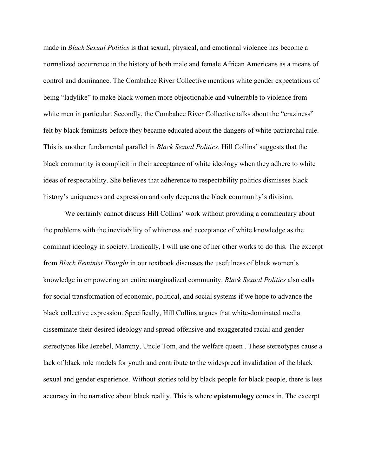made in *Black Sexual Politics* is that sexual, physical, and emotional violence has become a normalized occurrence in the history of both male and female African Americans as a means of control and dominance. The Combahee River Collective mentions white gender expectations of being "ladylike" to make black women more objectionable and vulnerable to violence from white men in particular. Secondly, the Combahee River Collective talks about the "craziness" felt by black feminists before they became educated about the dangers of white patriarchal rule. This is another fundamental parallel in *Black Sexual Politics.* Hill Collins' suggests that the black community is complicit in their acceptance of white ideology when they adhere to white ideas of respectability. She believes that adherence to respectability politics dismisses black history's uniqueness and expression and only deepens the black community's division.

We certainly cannot discuss Hill Collins' work without providing a commentary about the problems with the inevitability of whiteness and acceptance of white knowledge as the dominant ideology in society. Ironically, I will use one of her other works to do this. The excerpt from *Black Feminist Thought* in our textbook discusses the usefulness of black women's knowledge in empowering an entire marginalized community. *Black Sexual Politics* also calls for social transformation of economic, political, and social systems if we hope to advance the black collective expression. Specifically, Hill Collins argues that white-dominated media disseminate their desired ideology and spread offensive and exaggerated racial and gender stereotypes like Jezebel, Mammy, Uncle Tom, and the welfare queen . These stereotypes cause a lack of black role models for youth and contribute to the widespread invalidation of the black sexual and gender experience. Without stories told by black people for black people, there is less accuracy in the narrative about black reality. This is where **epistemology** comes in. The excerpt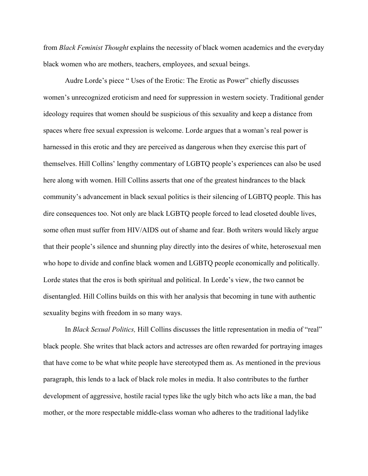from *Black Feminist Thought* explains the necessity of black women academics and the everyday black women who are mothers, teachers, employees, and sexual beings.

Audre Lorde's piece " Uses of the Erotic: The Erotic as Power" chiefly discusses women's unrecognized eroticism and need for suppression in western society. Traditional gender ideology requires that women should be suspicious of this sexuality and keep a distance from spaces where free sexual expression is welcome. Lorde argues that a woman's real power is harnessed in this erotic and they are perceived as dangerous when they exercise this part of themselves. Hill Collins' lengthy commentary of LGBTQ people's experiences can also be used here along with women. Hill Collins asserts that one of the greatest hindrances to the black community's advancement in black sexual politics is their silencing of LGBTQ people. This has dire consequences too. Not only are black LGBTQ people forced to lead closeted double lives, some often must suffer from HIV/AIDS out of shame and fear. Both writers would likely argue that their people's silence and shunning play directly into the desires of white, heterosexual men who hope to divide and confine black women and LGBTQ people economically and politically. Lorde states that the eros is both spiritual and political. In Lorde's view, the two cannot be disentangled. Hill Collins builds on this with her analysis that becoming in tune with authentic sexuality begins with freedom in so many ways.

In *Black Sexual Politics,* Hill Collins discusses the little representation in media of "real" black people. She writes that black actors and actresses are often rewarded for portraying images that have come to be what white people have stereotyped them as. As mentioned in the previous paragraph, this lends to a lack of black role moles in media. It also contributes to the further development of aggressive, hostile racial types like the ugly bitch who acts like a man, the bad mother, or the more respectable middle-class woman who adheres to the traditional ladylike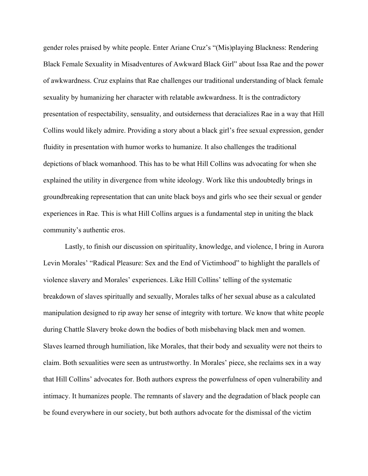gender roles praised by white people. Enter Ariane Cruz's "(Mis)playing Blackness: Rendering Black Female Sexuality in Misadventures of Awkward Black Girl" about Issa Rae and the power of awkwardness. Cruz explains that Rae challenges our traditional understanding of black female sexuality by humanizing her character with relatable awkwardness. It is the contradictory presentation of respectability, sensuality, and outsiderness that deracializes Rae in a way that Hill Collins would likely admire. Providing a story about a black girl's free sexual expression, gender fluidity in presentation with humor works to humanize. It also challenges the traditional depictions of black womanhood. This has to be what Hill Collins was advocating for when she explained the utility in divergence from white ideology. Work like this undoubtedly brings in groundbreaking representation that can unite black boys and girls who see their sexual or gender experiences in Rae. This is what Hill Collins argues is a fundamental step in uniting the black community's authentic eros.

Lastly, to finish our discussion on spirituality, knowledge, and violence, I bring in Aurora Levin Morales' "Radical Pleasure: Sex and the End of Victimhood" to highlight the parallels of violence slavery and Morales' experiences. Like Hill Collins' telling of the systematic breakdown of slaves spiritually and sexually, Morales talks of her sexual abuse as a calculated manipulation designed to rip away her sense of integrity with torture. We know that white people during Chattle Slavery broke down the bodies of both misbehaving black men and women. Slaves learned through humiliation, like Morales, that their body and sexuality were not theirs to claim. Both sexualities were seen as untrustworthy. In Morales' piece, she reclaims sex in a way that Hill Collins' advocates for. Both authors express the powerfulness of open vulnerability and intimacy. It humanizes people. The remnants of slavery and the degradation of black people can be found everywhere in our society, but both authors advocate for the dismissal of the victim